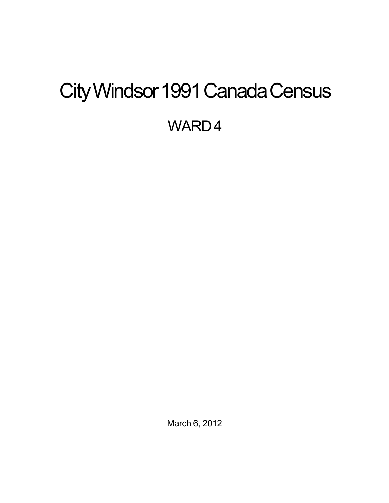# <span id="page-0-0"></span>City Windsor 1991 Canada Census

WARD4

March 6, 2012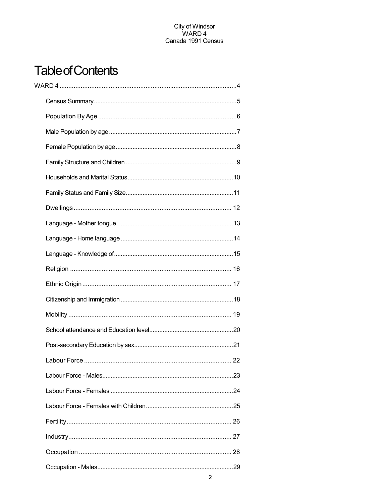## **Table of Contents**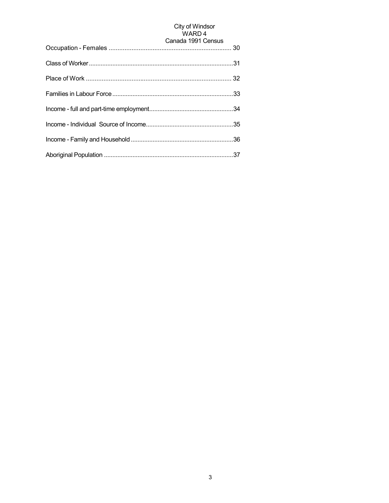## City of Windsor<br>WARD 4

| Canada 1991 Census |
|--------------------|
|                    |
|                    |
|                    |
|                    |
|                    |
|                    |
|                    |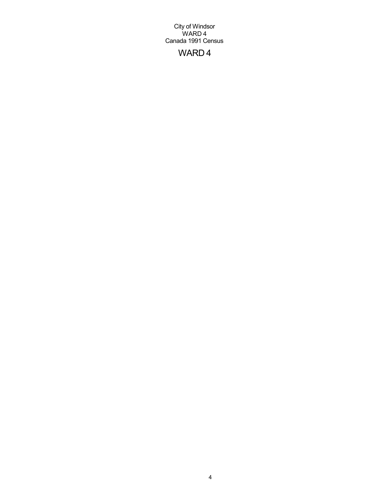## WARD 4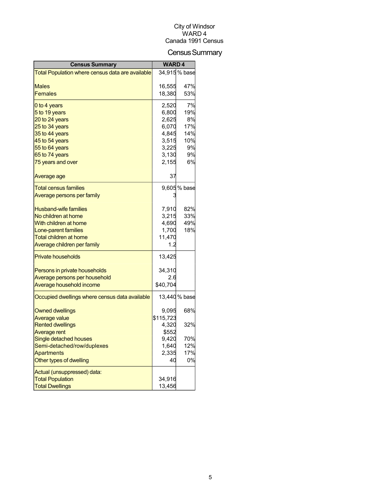## Census Summary

| <b>Census Summary</b>                            | <b>WARD4</b> |               |
|--------------------------------------------------|--------------|---------------|
| Total Population where census data are available |              | 34,915 % base |
|                                                  |              |               |
| <b>Males</b>                                     | 16,555       | 47%           |
| <b>Females</b>                                   | 18,380       | 53%           |
| 0 to 4 years                                     | 2,520        | 7%            |
| 5 to 19 years                                    | 6,800        | 19%           |
| 20 to 24 years                                   | 2,625        | 8%            |
| 25 to 34 years                                   | 6,070        | 17%           |
| 35 to 44 years                                   | 4,845        | 14%           |
| 45 to 54 years                                   | 3,515        | 10%           |
| 55 to 64 years                                   | 3,225        | 9%            |
| 65 to 74 years                                   | 3,130        | 9%            |
| 75 years and over                                | 2,155        | 6%            |
| Average age                                      | 37           |               |
| <b>Total census families</b>                     |              | 9,605 % base  |
| Average persons per family                       |              |               |
| <b>Husband-wife families</b>                     | 7,910        | 82%           |
| No children at home                              | 3,215        | 33%           |
| With children at home                            | 4,690        | 49%           |
| Lone-parent families                             | 1,700        | 18%           |
| <b>Total children at home</b>                    | 11,470       |               |
| Average children per family                      | 1.2          |               |
| <b>Private households</b>                        | 13,425       |               |
| Persons in private households                    | 34,310       |               |
| Average persons per household                    | 2.6          |               |
| Average household income                         | \$40,704     |               |
| Occupied dwellings where census data available   |              | 13,440 % base |
| <b>Owned dwellings</b>                           | 9.095        | 68%           |
| Average value                                    | \$115,723    |               |
| <b>Rented dwellings</b>                          | 4,320        | 32%           |
| Average rent                                     | \$552        |               |
| Single detached houses                           | 9.420        | 70%           |
| Semi-detached/row/duplexes                       | 1,640        | 12%           |
| <b>Apartments</b>                                | 2,335        | 17%           |
| Other types of dwelling                          | 40           | 0%            |
| Actual (unsuppressed) data:                      |              |               |
| <b>Total Population</b>                          | 34,916       |               |
| <b>Total Dwellings</b>                           | 13,456       |               |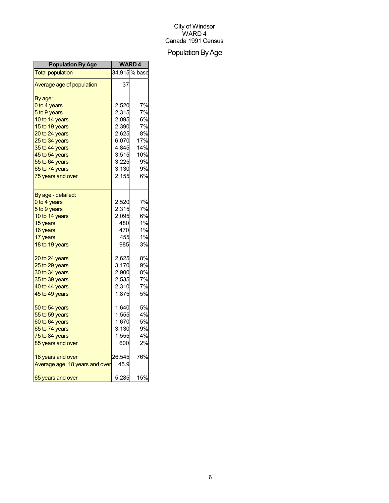## Population By Age

| <b>Population By Age</b>       | <b>WARD4</b> |              |
|--------------------------------|--------------|--------------|
| <b>Total population</b>        |              | 34,915% base |
| Average age of population      | 37           |              |
| By age:                        |              |              |
| 0 to 4 years                   | 2,520        | 7%           |
| 5 to 9 years                   | 2,315        | 7%           |
| 10 to 14 years                 | 2,095        | 6%           |
| 15 to 19 years                 | 2,390        | 7%           |
| 20 to 24 years                 | 2,625        | 8%           |
| 25 to 34 years                 | 6,070        | 17%          |
| 35 to 44 years                 | 4,845        | 14%          |
| 45 to 54 years                 | 3,515        | 10%          |
| 55 to 64 years                 | 3,225        | 9%           |
| 65 to 74 years                 | 3,130        | 9%           |
| 75 years and over              | 2,155        | 6%           |
| By age - detailed:             |              |              |
| 0 to 4 years                   | 2,520        | 7%           |
| 5 to 9 years                   | 2,315        | 7%           |
| 10 to 14 years                 | 2,095        | 6%           |
| 15 years                       | 480          | 1%           |
| 16 years                       | 470          | 1%           |
| 17 years                       | 455          | 1%           |
| 18 to 19 years                 | 985          | 3%           |
| 20 to 24 years                 | 2,625        | 8%           |
| 25 to 29 years                 | 3,170        | 9%           |
| 30 to 34 years                 | 2,900        | 8%           |
| 35 to 39 years                 | 2,535        | 7%           |
| 40 to 44 years                 | 2,310        | 7%           |
| 45 to 49 years                 | 1,875        | 5%           |
| 50 to 54 years                 | 1,640        | 5%           |
| 55 to 59 years                 | 1,555        | 4%           |
| 60 to 64 years                 | 1,670        | 5%           |
| 65 to 74 years                 | 3,130        | 9%           |
| 75 to 84 years                 | 1,555        | 4%           |
| 85 years and over              | 600          | 2%           |
| 18 years and over              | 26,545       | 76%          |
| Average age, 18 years and over | 45.9         |              |
| 65 years and over              | 5,285        | 15%          |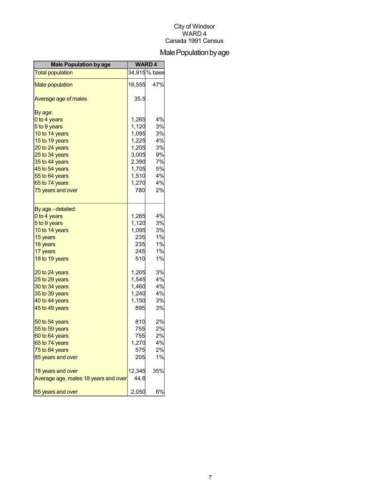## Male Population by age

| <b>Male Population by age</b>        | <b>WARD4</b> |               |
|--------------------------------------|--------------|---------------|
| <b>Total population</b>              |              | 34,915 % base |
| <b>Male population</b>               | 16,555       | 47%           |
| Average age of males                 | 35.5         |               |
| By age:                              |              |               |
| 0 to 4 years                         | 1,265        | 4%            |
| 5 to 9 years                         | 1,120        | 3%            |
| 10 to 14 years                       | 1,095        | 3%            |
| 15 to 19 years                       | 1,225        | 4%            |
| 20 to 24 years                       | 1,205        | 3%            |
| 25 to 34 years                       | 3,005        | 9%            |
| 35 to 44 years                       | 2,390        | 7%            |
| 45 to 54 years                       | 1,705        | 5%            |
| 55 to 64 years                       | 1,510        | 4%            |
| 65 to 74 years                       | 1,270        | 4%            |
| 75 years and over                    | 780          | 2%            |
| By age - detailed:                   |              |               |
| 0 to 4 years                         | 1,265        | 4%            |
| 5 to 9 years                         | 1,120        | 3%            |
| 10 to 14 years                       | 1,095        | 3%            |
| 15 years                             | 235          | 1%            |
| 16 years                             | 235          | $1\%$         |
| 17 years                             | 245          | 1%            |
| 18 to 19 years                       | 510          | 1%            |
| 20 to 24 years                       | 1,205        | 3%            |
| 25 to 29 years                       | 1,545        | 4%            |
| 30 to 34 years                       | 1,460        | 4%            |
| 35 to 39 years                       | 1,240        | 4%            |
| 40 to 44 years                       | 1,150        | 3%            |
| 45 to 49 years                       | 895          | 3%            |
| 50 to 54 years                       | 810          | 2%            |
| 55 to 59 years                       | 755          | 2%            |
| 60 to 64 years                       | 755          | 2%            |
| 65 to 74 years                       | 1,270        | 4%            |
| 75 to 84 years                       | 575          | 2%            |
| 85 years and over                    | 205          | 1%            |
| 18 years and over                    | 12,345       | 35%           |
| Average age, males 18 years and over | 44.6         |               |
| 65 years and over                    | 2,050        | 6%            |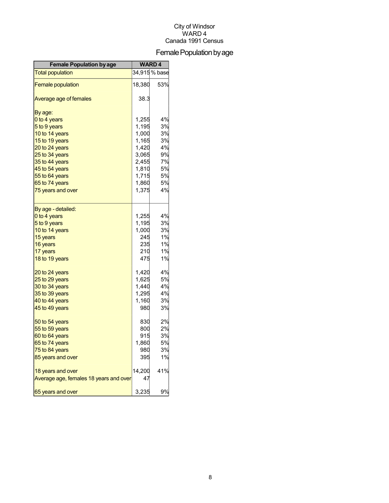## Female Population by age

| <b>Female Population by age</b>        | <b>WARD4</b> |               |
|----------------------------------------|--------------|---------------|
| <b>Total population</b>                |              | 34,915 % base |
| <b>Female population</b>               | 18,380       | 53%           |
| Average age of females                 | 38.3         |               |
| By age:                                |              |               |
| 0 to 4 years                           | 1,255        | 4%            |
| 5 to 9 years                           | 1,195        | 3%            |
| 10 to 14 years                         | 1,000        | 3%            |
| 15 to 19 years                         | 1,165        | 3%            |
| 20 to 24 years                         | 1,420        | 4%            |
| 25 to 34 years                         | 3,065        | 9%            |
| 35 to 44 years                         | 2,455        | 7%            |
| 45 to 54 years                         | 1,810        | 5%            |
| 55 to 64 years                         | 1,715        | 5%            |
| 65 to 74 years                         | 1,860        | 5%            |
| 75 years and over                      | 1,375        | 4%            |
| By age - detailed:                     |              |               |
| 0 to 4 years                           | 1,255        | 4%            |
| 5 to 9 years                           | 1,195        | 3%            |
| 10 to 14 years                         | 1,000        | 3%            |
| 15 years                               | 245          | 1%            |
| 16 years                               | 235          | 1%            |
| 17 years                               | 210          | 1%            |
| 18 to 19 years                         | 475          | 1%            |
| 20 to 24 years                         | 1,420        | 4%            |
| 25 to 29 years                         | 1,625        | 5%            |
| 30 to 34 years                         | 1,440        | 4%            |
| 35 to 39 years                         | 1,295        | 4%            |
| 40 to 44 years                         | 1,160        | 3%            |
| 45 to 49 years                         | 980          | 3%            |
| 50 to 54 years                         | 830          | 2%            |
| 55 to 59 years                         | 800          | 2%            |
| 60 to 64 years                         | 915          | 3%            |
| 65 to 74 years                         | 1,860        | 5%            |
| 75 to 84 years                         | 980          | 3%            |
| 85 years and over                      | 395          | 1%            |
| 18 years and over                      | 14,200       | 41%           |
| Average age, females 18 years and over | 47           |               |
| 65 years and over                      | 3,235        | 9%            |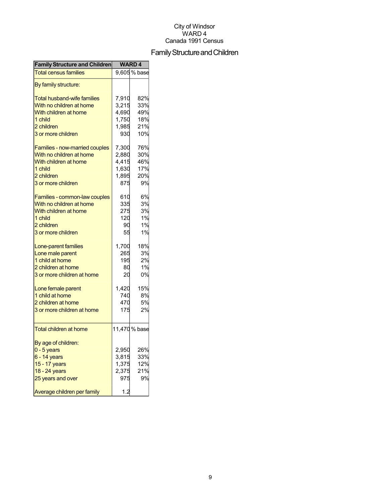## Family Structure and Children

| <b>Family Structure and Children</b> |       | <b>WARD4</b>  |
|--------------------------------------|-------|---------------|
| <b>Total census families</b>         |       | 9,605% base   |
| By family structure:                 |       |               |
| <b>Total husband-wife families</b>   | 7,910 | 82%           |
| With no children at home             | 3,215 | 33%           |
| With children at home                | 4,690 | 49%           |
| 1 child                              | 1,750 | 18%           |
| 2 children                           | 1,985 | 21%           |
| 3 or more children                   | 930   | 10%           |
|                                      |       |               |
| Families - now-married couples       | 7,300 | 76%           |
| With no children at home             | 2,880 | 30%           |
| With children at home                | 4,415 | 46%           |
| 1 child                              | 1,630 | 17%           |
| 2 children                           | 1,895 | 20%           |
| 3 or more children                   | 875   | 9%            |
|                                      | 610   | 6%            |
| Families - common-law couples        |       |               |
| With no children at home             | 335   | 3%            |
| With children at home                | 275   | 3%            |
| 1 child                              | 120   | 1%            |
| 2 children                           | 90    | 1%            |
| 3 or more children                   | 55    | 1%            |
| Lone-parent families                 | 1,700 | 18%           |
| Lone male parent                     | 265   | 3%            |
| 1 child at home                      | 195   | 2%            |
| 2 children at home                   | 80    | 1%            |
| 3 or more children at home           | 20    | 0%            |
|                                      |       | 15%           |
| Lone female parent                   | 1,420 |               |
| 1 child at home                      | 740   | 8%            |
| 2 children at home                   | 470   | 5%            |
| 3 or more children at home           | 175   | 2%            |
| <b>Total children at home</b>        |       | 11,470 % base |
|                                      |       |               |
| By age of children:                  |       |               |
| $0 - 5$ years                        | 2,950 | 26%           |
| 6 - 14 years                         | 3,815 | 33%           |
| 15 - 17 years                        | 1,375 | 12%           |
| 18 - 24 years                        | 2,375 | 21%           |
| 25 years and over                    | 975   | 9%            |
| Average children per family          | 1.2   |               |
|                                      |       |               |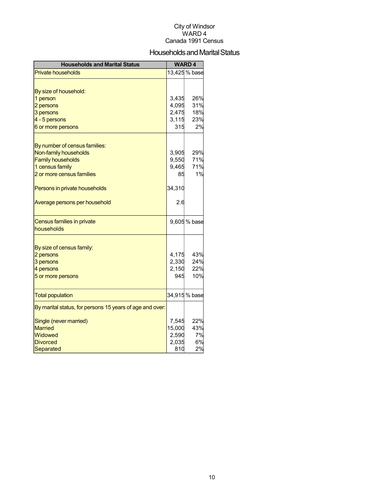### Households and Marital Status

| <b>Households and Marital Status</b>                     |             | <b>WARD4</b>  |
|----------------------------------------------------------|-------------|---------------|
| <b>Private households</b>                                |             | 13,425 % base |
|                                                          |             |               |
| By size of household:                                    |             |               |
| 1 person                                                 | 3,435       | 26%           |
| 2 persons                                                | 4,095       | 31%           |
| 3 persons                                                | 2,475       | 18%           |
| 4 - 5 persons                                            | 3,115       | 23%           |
| 6 or more persons                                        | 315         | 2%            |
|                                                          |             |               |
| By number of census families:<br>Non-family households   | 3,905       | 29%           |
| <b>Family households</b>                                 |             | 71%           |
| 1 census family                                          | 9,550       | 71%           |
| 2 or more census families                                | 9,465<br>85 | 1%            |
|                                                          |             |               |
| Persons in private households                            | 34,310      |               |
| Average persons per household                            | 2.6         |               |
| Census families in private                               |             | 9,605 % base  |
| households                                               |             |               |
| By size of census family:                                |             |               |
| 2 persons                                                | 4,175       | 43%           |
| 3 persons                                                | 2,330       | 24%           |
| 4 persons                                                | 2,150       | 22%           |
| 5 or more persons                                        | 945         | 10%           |
|                                                          |             |               |
| <b>Total population</b>                                  |             | 34,915 % base |
| By marital status, for persons 15 years of age and over: |             |               |
| Single (never married)                                   | 7,545       | 22%           |
| <b>Married</b>                                           | 15,000      | 43%           |
| <b>Widowed</b>                                           | 2,590       | 7%            |
| <b>Divorced</b>                                          | 2,035       | 6%            |
| Separated                                                | 810         | 2%            |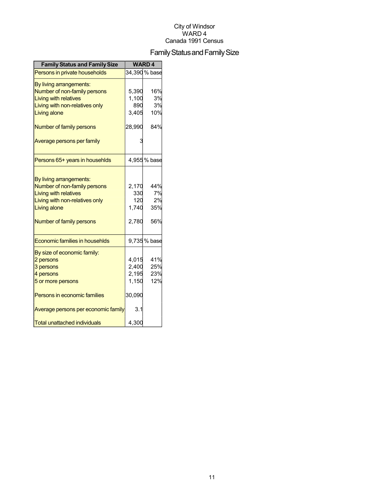## Family Status and Family Size

| <b>Family Status and Family Size</b> | <b>WARD4</b> |               |  |
|--------------------------------------|--------------|---------------|--|
| Persons in private households        |              | 34,390 % base |  |
| By living arrangements:              |              |               |  |
| Number of non-family persons         | 5,390        | 16%           |  |
| <b>Living with relatives</b>         | 1,100        | 3%            |  |
| Living with non-relatives only       | 890          | 3%            |  |
| Living alone                         | 3,405        | 10%           |  |
| Number of family persons             | 28,990       | 84%           |  |
| Average persons per family           |              |               |  |
| Persons 65+ years in househlds       |              | 4,955% base   |  |
|                                      |              |               |  |
| By living arrangements:              |              |               |  |
| Number of non-family persons         | 2,170        | 44%           |  |
| <b>Living with relatives</b>         | 330          | 7%            |  |
| Living with non-relatives only       | 120          | 2%            |  |
| Living alone                         | 1,740        | 35%           |  |
| Number of family persons             | 2,780        | 56%           |  |
| Economic families in househlds       |              | 9,735% base   |  |
| By size of economic family:          |              |               |  |
| 2 persons                            | 4,015        | 41%           |  |
| 3 persons                            | 2,400        | 25%           |  |
| 4 persons                            | 2,195        | 23%           |  |
| 5 or more persons                    | 1,150        | 12%           |  |
| Persons in economic families         | 30,090       |               |  |
| Average persons per economic family  | 3.1          |               |  |
| Total unattached individuals         | 4,300        |               |  |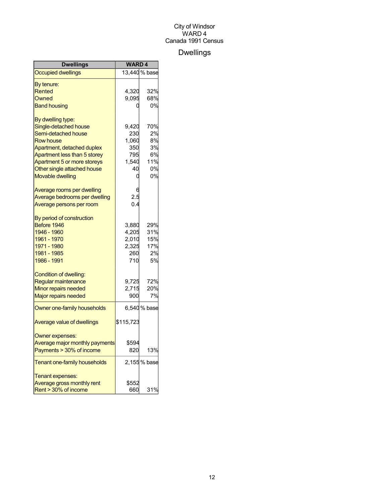## Dwellings

| <b>Dwellings</b>               | <b>WARD4</b> |               |
|--------------------------------|--------------|---------------|
| <b>Occupied dwellings</b>      |              | 13,440 % base |
| By tenure:                     |              |               |
| Rented                         | 4,320        | 32%           |
| Owned                          | 9.095        | 68%           |
| <b>Band housing</b>            |              | 0%            |
| By dwelling type:              |              |               |
| Single-detached house          | 9,420        | 70%           |
| Semi-detached house            | 230          | 2%            |
| <b>Row house</b>               | 1,060        | 8%            |
| Apartment, detached duplex     | 350          | 3%            |
| Apartment less than 5 storey   | 795          | 6%            |
| Apartment 5 or more storeys    | 1,540        | 11%           |
| Other single attached house    | 40           | 0%            |
| <b>Movable dwelling</b>        | 0            | 0%            |
| Average rooms per dwelling     |              |               |
| Average bedrooms per dwelling  | 2.5          |               |
| Average persons per room       | 0.4          |               |
| By period of construction      |              |               |
| Before 1946                    | 3,880        | 29%           |
| 1946 - 1960                    | 4,205        | 31%           |
| 1961 - 1970                    | 2,010        | 15%           |
| 1971 - 1980                    | 2,325        | 17%           |
| 1981 - 1985                    | 260          | 2%            |
| 1986 - 1991                    | 710          | 5%            |
| Condition of dwelling:         |              |               |
| Regular maintenance            | 9,725        | 72%           |
| Minor repairs needed           | 2,715        | 20%           |
| <b>Major repairs needed</b>    | 900          | 7%            |
| Owner one-family households    |              | 6,540 % base  |
| Average value of dwellings     | \$115,723    |               |
| Owner expenses:                |              |               |
| Average major monthly payments | \$594        |               |
| Payments > 30% of income       | 820          | 13%           |
| Tenant one-family households   |              | 2,155% base   |
| Tenant expenses:               |              |               |
| Average gross monthly rent     | \$552        |               |
| Rent > 30% of income           | 660          | 31%           |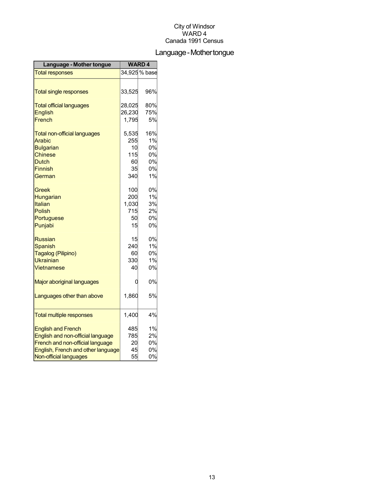## Language-Mothertongue

| Language - Mother tongue            | <b>WARD4</b> |               |
|-------------------------------------|--------------|---------------|
| <b>Total responses</b>              |              | 34,925 % base |
|                                     |              |               |
| <b>Total single responses</b>       | 33,525       | 96%           |
| <b>Total official languages</b>     | 28,025       | 80%           |
| <b>English</b>                      | 26,230       | 75%           |
| French                              | 1,795        | 5%            |
| <b>Total non-official languages</b> | 5,535        | 16%           |
| Arabic                              | 255          | 1%            |
| <b>Bulgarian</b>                    | 10           | 0%            |
| <b>Chinese</b>                      | 115          | 0%            |
| <b>Dutch</b>                        | 60           | 0%            |
| <b>Finnish</b>                      | 35           | 0%            |
| German                              | 340          | 1%            |
| Greek                               | 100          | 0%            |
| Hungarian                           | 200          | 1%            |
| Italian                             | 1,030        | 3%            |
| <b>Polish</b>                       | 715          | 2%            |
| Portuguese                          | 50           | 0%            |
| Punjabi                             | 15           | 0%            |
| <b>Russian</b>                      | 15           | 0%            |
| <b>Spanish</b>                      | 240          | 1%            |
| Tagalog (Pilipino)                  | 60           | 0%            |
| <b>Ukrainian</b>                    | 330          | 1%            |
| Vietnamese                          | 40           | 0%            |
| Major aboriginal languages          | 0            | 0%            |
| Languages other than above          | 1,860        | 5%            |
|                                     |              |               |
| <b>Total multiple responses</b>     | 1,400        | 4%            |
| <b>English and French</b>           | 485          | 1%            |
| English and non-official language   | 785          | 2%            |
| French and non-official language    | 20           | 0%            |
| English, French and other language  | 45           | 0%            |
| Non-official languages              | 55           | 0%            |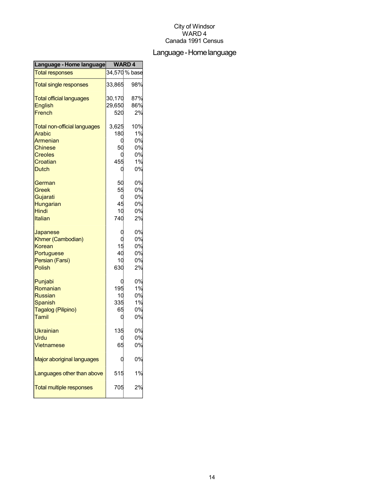## Language-Homelanguage

| Language - Home language            | <b>WARD4</b> |               |
|-------------------------------------|--------------|---------------|
| <b>Total responses</b>              |              | 34,570 % base |
| <b>Total single responses</b>       | 33,865       | 98%           |
| <b>Total official languages</b>     | 30,170       | 87%           |
| <b>English</b>                      | 29,650       | 86%           |
| French                              | 520          | 2%            |
| <b>Total non-official languages</b> | 3,625        | 10%           |
| Arabic                              | 180          | 1%            |
| Armenian                            | 0            | 0%            |
| <b>Chinese</b>                      | 50           | 0%            |
| <b>Creoles</b>                      |              | 0%            |
| Croatian                            | 455          | 1%            |
| <b>Dutch</b>                        | 0            | 0%            |
| German                              | 50           | 0%            |
| Greek                               | 55           | 0%            |
| Gujarati                            | 0            | 0%            |
| Hungarian                           | 45           | 0%            |
| Hindi                               | 10           | 0%            |
| Italian                             | 740          | 2%            |
| Japanese                            |              | 0%            |
| Khmer (Cambodian)                   | Ü            | 0%            |
| Korean                              | 15           | 0%            |
| Portuguese                          | 40           | 0%            |
| Persian (Farsi)                     | 10           | 0%            |
| Polish                              | 630          | 2%            |
| Punjabi                             | C            | 0%            |
| Romanian                            | 195          | 1%            |
| <b>Russian</b>                      | 10           | 0%            |
| Spanish                             | 335          | 1%            |
| Tagalog (Pilipino)                  | 65           | 0%            |
| Tamil                               | 0            | 0%            |
| <b>Ukrainian</b>                    | 135          | 0%            |
| Urdu                                |              | 0%            |
| <b>Vietnamese</b>                   | 65           | 0%            |
| Major aboriginal languages          |              | 0%            |
| Languages other than above          | 515          | 1%            |
| <b>Total multiple responses</b>     | 705          | 2%            |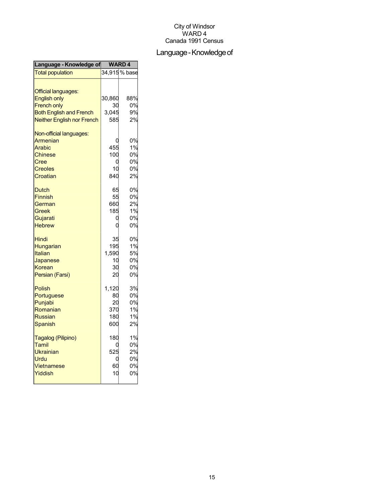## Language - Knowledge of

| Language - Knowledge of           | <b>WARD4</b> |               |
|-----------------------------------|--------------|---------------|
| <b>Total population</b>           |              | 34,915 % base |
| <b>Official languages:</b>        |              |               |
| <b>English only</b>               | 30,860       | 88%           |
| <b>French only</b>                | 30           | 0%            |
| <b>Both English and French</b>    | 3,045        | 9%            |
| <b>Neither English nor French</b> | 585          | 2%            |
| Non-official languages:           |              |               |
| <b>Armenian</b>                   |              | 0%            |
| Arabic                            | 455          | 1%            |
| <b>Chinese</b>                    | 100          | 0%            |
| Cree                              | 0            | 0%            |
| <b>Creoles</b>                    | 10           | 0%            |
| Croatian                          | 840          | 2%            |
| <b>Dutch</b>                      | 65           | 0%            |
| <b>Finnish</b>                    | 55           | 0%            |
| German                            | 660          | 2%            |
| Greek                             | 185          | 1%            |
| Gujarati                          |              | 0%            |
| <b>Hebrew</b>                     |              | 0%            |
| Hindi                             | 35           | 0%            |
| Hungarian                         | 195          | 1%            |
| <b>Italian</b>                    | 1,590        | 5%            |
| Japanese                          | 10           | 0%            |
| Korean                            | 30           | 0%            |
| Persian (Farsi)                   | 20           | 0%            |
| Polish                            | 1,120        | 3%            |
| Portuguese                        | 80           | 0%            |
| Punjabi                           | 20           | 0%            |
| Romanian                          | 370          | 1%            |
| <b>Russian</b>                    | 180          | 1%            |
| Spanish                           | 600          | 2%            |
| Tagalog (Pilipino)                | 180          | 1%            |
| Tamil                             |              | 0%            |
| <b>Ukrainian</b>                  | 525          | 2%            |
| Urdu                              |              | 0%            |
| Vietnamese                        | 60           | 0%            |
| Yiddish                           | 10           | 0%            |
|                                   |              |               |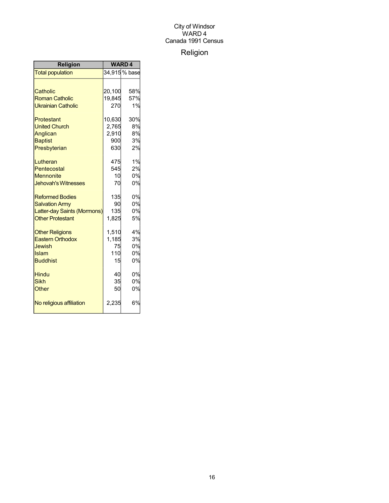## Religion

| Religion                    | <b>WARD4</b> |               |
|-----------------------------|--------------|---------------|
| <b>Total population</b>     |              | 34,915 % base |
|                             |              |               |
| Catholic                    | 20,100       | 58%           |
| <b>Roman Catholic</b>       | 19,845       | 57%           |
| <b>Ukrainian Catholic</b>   | 270          | 1%            |
| Protestant                  | 10,630       | 30%           |
| <b>United Church</b>        | 2,765        | 8%            |
| Anglican                    | 2,910        | 8%            |
| <b>Baptist</b>              | 900          | 3%            |
| Presbyterian                | 630          | 2%            |
| Lutheran                    | 475          | 1%            |
| Pentecostal                 | 545          | 2%            |
| <b>Mennonite</b>            | 10           | 0%            |
| <b>Jehovah's Witnesses</b>  | 70           | 0%            |
| <b>Reformed Bodies</b>      | 135          | 0%            |
| <b>Salvation Army</b>       | 90           | 0%            |
| Latter-day Saints (Mormons) | 135          | 0%            |
| <b>Other Protestant</b>     | 1,825        | 5%            |
| <b>Other Religions</b>      | 1,510        | 4%            |
| <b>Eastern Orthodox</b>     | 1,185        | 3%            |
| <b>Jewish</b>               | 75           | 0%            |
| Islam                       | 110          | 0%            |
| <b>Buddhist</b>             | 15           | 0%            |
| <b>Hindu</b>                | 40           | 0%            |
| <b>Sikh</b>                 | 35           | 0%            |
| Other                       | 50           | 0%            |
| No religious affiliation    | 2,235        | 6%            |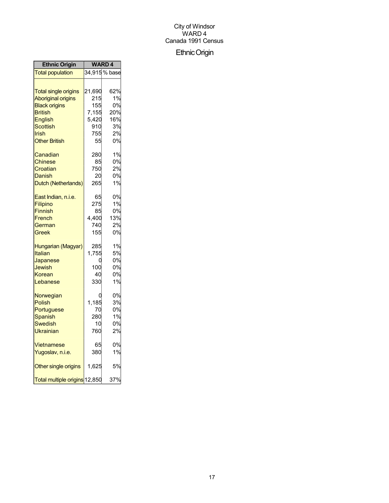## EthnicOrigin

| <b>Ethnic Origin</b>          | <b>WARD4</b> |               |
|-------------------------------|--------------|---------------|
| <b>Total population</b>       |              | 34,915 % base |
|                               |              |               |
| <b>Total single origins</b>   | 21,690       | 62%           |
| <b>Aboriginal origins</b>     | 215          | 1%            |
| <b>Black origins</b>          | 155          | 0%            |
| <b>British</b>                | 7,155        | 20%           |
| <b>English</b>                | 5,420        | 16%           |
| Scottish                      | 910          | 3%            |
| Irish                         | 755          | 2%            |
| <b>Other British</b>          | 55           | 0%            |
| Canadian                      | 280          | 1%            |
| <b>Chinese</b>                | 85           | 0%            |
| Croatian                      | 750          | 2%            |
| Danish                        | 20           | 0%            |
| Dutch (Netherlands)           | 265          | 1%            |
| East Indian, n.i.e.           | 65           | 0%            |
| Filipino                      | 275          | 1%            |
| Finnish                       | 85           | 0%            |
| French                        | 4,400        | 13%           |
| German                        | 740          | 2%            |
| Greek                         | 155          | 0%            |
| Hungarian (Magyar)            | 285          | 1%            |
| Italian                       | 1,755        | 5%            |
| Japanese                      | C            | 0%            |
| Jewish                        | 100          | 0%            |
| Korean                        | 40           | 0%            |
| Lebanese                      | 330          | 1%            |
| Norwegian                     |              | 0%            |
| <b>Polish</b>                 | 1,185        | 3%            |
| Portuguese                    | 70           | 0%            |
| <b>Spanish</b>                | 280          | 1%            |
| <b>Swedish</b>                | 10           | 0%            |
| Ukrainian                     | 760          | 2%            |
| Vietnamese                    | 65           | 0%            |
| Yugoslav, n.i.e.              | 380          | 1%            |
| Other single origins          | 1,625        | 5%            |
| Total multiple origins 12,850 |              | 37%           |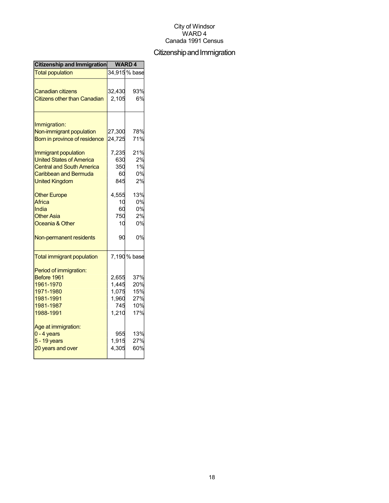## Citizenship and Immigration

| Citizenship and Immigration         | <b>WARD4</b> |               |
|-------------------------------------|--------------|---------------|
| <b>Total population</b>             |              | 34,915 % base |
|                                     |              |               |
| <b>Canadian citizens</b>            | 32,430       | 93%           |
| <b>Citizens other than Canadian</b> | 2,105        | 6%            |
| Immigration:                        |              |               |
| Non-immigrant population            | 27,300       | 78%           |
| Born in province of residence       | 24,725       | 71%           |
|                                     |              |               |
| Immigrant population                | 7,235        | 21%           |
| <b>United States of America</b>     | 630          | 2%            |
| <b>Central and South America</b>    | 350          | 1%            |
| Caribbean and Bermuda               | 60           | 0%            |
| <b>United Kingdom</b>               | 845          | 2%            |
| <b>Other Europe</b>                 | 4,555        | 13%           |
| Africa                              | 10           | 0%            |
| India                               | 60           | 0%            |
| <b>Other Asia</b>                   | 750          | 2%            |
| Oceania & Other                     | 10           | 0%            |
| Non-permanent residents             | 90           | 0%            |
| <b>Total immigrant population</b>   |              | 7,190 % base  |
| Period of immigration:              |              |               |
| Before 1961                         | 2,655        | 37%           |
| 1961-1970                           | 1,445        | 20%           |
| 1971-1980                           | 1,075        | 15%           |
| 1981-1991                           | 1,960        | 27%           |
| 1981-1987                           | 745          | 10%           |
| 1988-1991                           | 1,210        | 17%           |
| Age at immigration:                 |              |               |
| $0 - 4$ years                       | 955          | 13%           |
| 5 - 19 years                        | 1,915        | 27%           |
| 20 years and over                   | 4,305        | 60%           |
|                                     |              |               |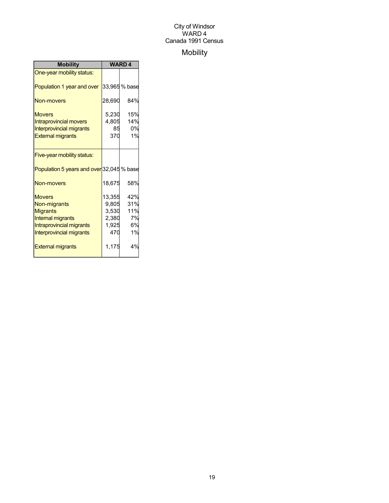## Mobility

| <b>Mobility</b>                           | <b>WARD4</b> |               |
|-------------------------------------------|--------------|---------------|
| One-year mobility status:                 |              |               |
| Population 1 year and over                |              | 33,965 % base |
| <b>Non-movers</b>                         | 28,690       | 84%           |
| <b>Movers</b>                             | 5,230        | 15%           |
| <b>Intraprovincial movers</b>             | 4,805        | 14%           |
| <b>Interprovincial migrants</b>           | 85           | 0%            |
| <b>External migrants</b>                  | 370          | 1%            |
|                                           |              |               |
| Five-year mobility status:                |              |               |
| Population 5 years and over 32,045 % base |              |               |
| Non-movers                                | 18,675       | 58%           |
| <b>Movers</b>                             | 13,355       | 42%           |
| Non-migrants                              | 9,805        | 31%           |
| <b>Migrants</b>                           | 3,530        | 11%           |
| <b>Internal migrants</b>                  | 2,380        | 7%            |
| Intraprovincial migrants                  | 1,925        | 6%            |
| Interprovincial migrants                  | 470          | 1%            |
| <b>External migrants</b>                  | 1,175        | 4%            |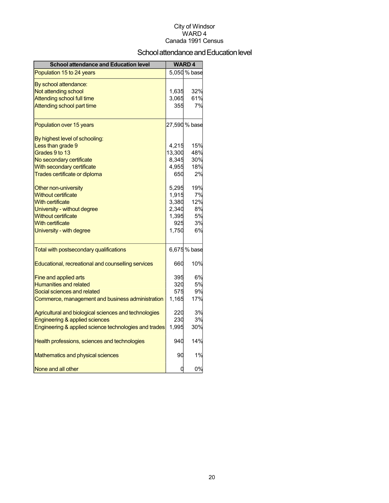## School attendance and Education level

| <b>School attendance and Education level</b>          |        | <b>WARD4</b>  |
|-------------------------------------------------------|--------|---------------|
| Population 15 to 24 years                             |        | 5,050 % base  |
| By school attendance:                                 |        |               |
| Not attending school                                  | 1,635  | 32%           |
| <b>Attending school full time</b>                     | 3,065  | 61%           |
| Attending school part time                            | 355    | 7%            |
| Population over 15 years                              |        | 27,590 % base |
| By highest level of schooling:                        |        |               |
| Less than grade 9                                     | 4,215  | 15%           |
| Grades 9 to 13                                        | 13,300 | 48%           |
| No secondary certificate                              | 8,345  | 30%           |
| With secondary certificate                            | 4,955  | 18%           |
| Trades certificate or diploma                         | 650    | 2%            |
| Other non-university                                  | 5,295  | 19%           |
| <b>Without certificate</b>                            | 1,915  | 7%            |
| <b>With certificate</b>                               | 3,380  | 12%           |
| University - without degree                           | 2,340  | 8%            |
| <b>Without certificate</b>                            | 1,395  | 5%            |
| <b>With certificate</b>                               | 925    | 3%            |
| University - with degree                              | 1,750  | 6%            |
| Total with postsecondary qualifications               |        | 6,675 % base  |
| Educational, recreational and counselling services    | 660    | 10%           |
| Fine and applied arts                                 | 395    | 6%            |
| <b>Humanities and related</b>                         | 320    | 5%            |
| Social sciences and related                           | 575    | 9%            |
| Commerce, management and business administration      | 1,165  | 17%           |
| Agricultural and biological sciences and technologies | 220    | 3%            |
| Engineering & applied sciences                        | 230    | 3%            |
| Engineering & applied science technologies and trades | 1,995  | 30%           |
| Health professions, sciences and technologies         | 940    | 14%           |
| Mathematics and physical sciences                     | 90     | 1%            |
| None and all other                                    | 0      | 0%            |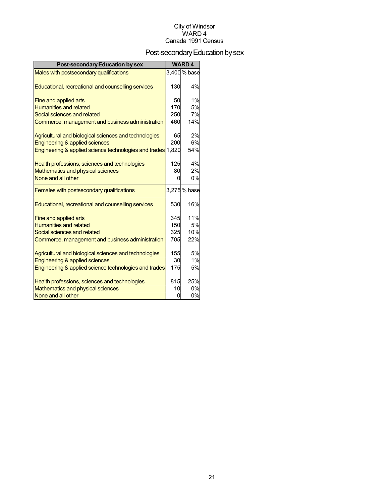## Post-secondary Education by sex

| <b>Post-secondary Education by sex</b>                      |     | <b>WARD4</b> |
|-------------------------------------------------------------|-----|--------------|
| Males with postsecondary qualifications                     |     | 3,400 % base |
|                                                             | 130 | 4%           |
| Educational, recreational and counselling services          |     |              |
| Fine and applied arts                                       | 50  | 1%           |
| <b>Humanities and related</b>                               | 170 | 5%           |
| Social sciences and related                                 | 250 | 7%           |
| Commerce, management and business administration            | 460 | 14%          |
| Agricultural and biological sciences and technologies       | 65  | 2%           |
| Engineering & applied sciences                              | 200 | 6%           |
| Engineering & applied science technologies and trades 1,820 |     | 54%          |
| Health professions, sciences and technologies               | 125 | 4%           |
| Mathematics and physical sciences                           | 80  | 2%           |
| None and all other                                          | U   | 0%           |
| Females with postsecondary qualifications                   |     | 3,275 % base |
| Educational, recreational and counselling services          | 530 | 16%          |
| Fine and applied arts                                       | 345 | 11%          |
| <b>Humanities and related</b>                               | 150 | 5%           |
| Social sciences and related                                 | 325 | 10%          |
| Commerce, management and business administration            | 705 | 22%          |
| Agricultural and biological sciences and technologies       | 155 | 5%           |
| Engineering & applied sciences                              | 30  | 1%           |
| Engineering & applied science technologies and trades       | 175 | 5%           |
| Health professions, sciences and technologies               | 815 | 25%          |
| Mathematics and physical sciences                           | 10  | 0%           |
| None and all other                                          | 0   | 0%           |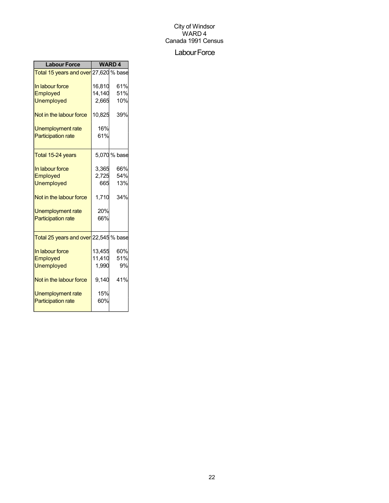## Labour Force

| <b>Labour Force</b>                   |        | <b>WARD4</b> |
|---------------------------------------|--------|--------------|
| Total 15 years and over 27,620 % base |        |              |
| In labour force                       | 16,810 | 61%          |
| Employed                              | 14,140 | 51%          |
| <b>Unemployed</b>                     | 2,665  | 10%          |
| Not in the labour force               | 10,825 | 39%          |
| <b>Unemployment rate</b>              | 16%    |              |
| <b>Participation rate</b>             | 61%    |              |
| Total 15-24 years                     |        | 5,070 % base |
| In labour force                       | 3,365  | 66%          |
| Employed                              | 2,725  | 54%          |
| <b>Unemployed</b>                     | 665    | 13%          |
| Not in the labour force               | 1,710  | 34%          |
| Unemployment rate                     | 20%    |              |
| <b>Participation rate</b>             | 66%    |              |
| Total 25 years and over 22,545 % base |        |              |
| In labour force                       | 13,455 | 60%          |
| Employed                              | 11,410 | 51%          |
| <b>Unemployed</b>                     | 1,990  | 9%           |
| Not in the labour force               | 9,140  | 41%          |
| Unemployment rate                     | 15%    |              |
| <b>Participation rate</b>             | 60%    |              |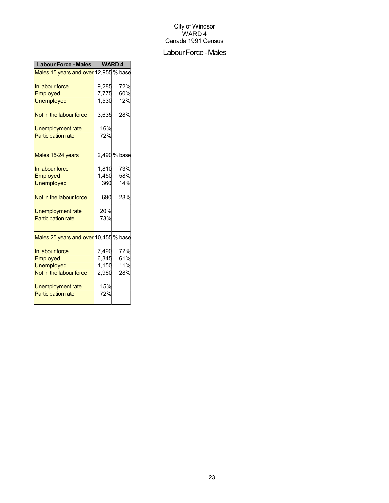#### Labour Force - Males

| <b>Labour Force - Males</b>           | <b>WARD4</b> |              |
|---------------------------------------|--------------|--------------|
| Males 15 years and over 12,955 % base |              |              |
| In labour force                       | 9,285        | 72%          |
| Employed                              | 7,775        | 60%          |
| <b>Unemployed</b>                     | 1,530        | 12%          |
| Not in the labour force               | 3,635        | 28%          |
| Unemployment rate                     | 16%          |              |
| <b>Participation rate</b>             | 72%          |              |
| Males 15-24 years                     |              | 2,490 % base |
|                                       |              |              |
| In labour force                       | 1,810        | 73%          |
| Employed                              | 1,450        | 58%          |
| <b>Unemployed</b>                     | 360          | 14%          |
| Not in the labour force               | 690          | 28%          |
| <b>Unemployment rate</b>              | 20%          |              |
| <b>Participation rate</b>             | 73%          |              |
| Males 25 years and over 10,455 % base |              |              |
|                                       |              |              |
| In labour force                       | 7,490        | 72%          |
| Employed                              | 6,345        | 61%          |
| <b>Unemployed</b>                     | 1,150        | 11%          |
| Not in the labour force               | 2,960        | 28%          |
| Unemployment rate                     | 15%          |              |
| <b>Participation rate</b>             | 72%          |              |
|                                       |              |              |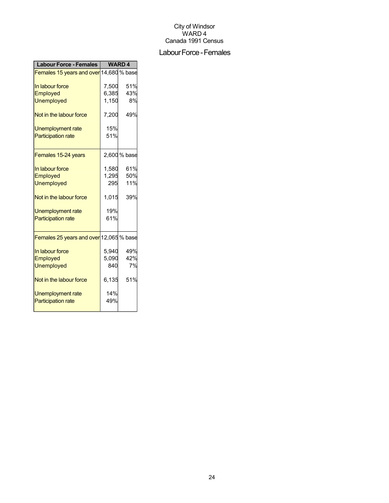## Labour Force - Females

| <b>Labour Force - Females</b>           | <b>WARD4</b> |              |
|-----------------------------------------|--------------|--------------|
| Females 15 years and over 14,680 % base |              |              |
| In labour force                         | 7,500        | 51%          |
| <b>Employed</b>                         | 6,385        | 43%          |
| <b>Unemployed</b>                       | 1,150        | 8%           |
| Not in the labour force                 | 7,200        | 49%          |
| Unemployment rate                       | 15%          |              |
| <b>Participation rate</b>               | 51%          |              |
| Females 15-24 years                     |              | 2,600 % base |
| In labour force                         | 1,580        | 61%          |
| Employed                                | 1,295        | 50%          |
| <b>Unemployed</b>                       | 295          | 11%          |
| Not in the labour force                 | 1,015        | 39%          |
| Unemployment rate                       | 19%          |              |
| <b>Participation rate</b>               | 61%          |              |
| Females 25 years and over 12,065 % base |              |              |
| In labour force                         | 5,940        | 49%          |
| Employed                                | 5,090        | 42%          |
| <b>Unemployed</b>                       | 840          | 7%           |
| Not in the labour force                 | 6,135        | 51%          |
| Unemployment rate                       | 14%          |              |
| <b>Participation rate</b>               | 49%          |              |
|                                         |              |              |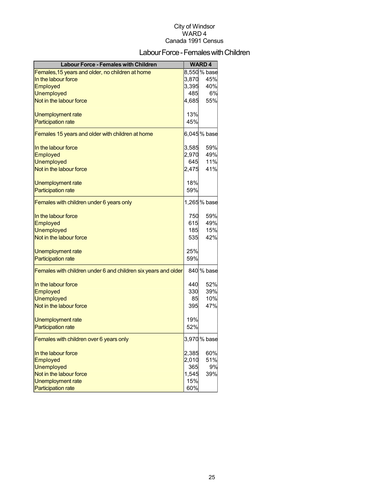## Labour Force - Females with Children

| <b>Labour Force - Females with Children</b>                    |       | <b>WARD4</b> |
|----------------------------------------------------------------|-------|--------------|
| Females, 15 years and older, no children at home               |       | 8,550 % base |
| In the labour force                                            | 3,870 | 45%          |
| Employed                                                       | 3,395 | 40%          |
| <b>Unemployed</b>                                              | 485   | 6%           |
| Not in the labour force                                        | 4,685 | 55%          |
| Unemployment rate                                              | 13%   |              |
| <b>Participation rate</b>                                      | 45%   |              |
| Females 15 years and older with children at home               |       | 6,045% base  |
| In the labour force                                            | 3,585 | 59%          |
| Employed                                                       | 2,970 | 49%          |
| <b>Unemployed</b>                                              | 645   | 11%          |
| Not in the labour force                                        | 2,475 | 41%          |
| Unemployment rate                                              | 18%   |              |
| <b>Participation rate</b>                                      | 59%   |              |
| Females with children under 6 years only                       |       | 1,265 % base |
| In the labour force                                            | 750   | 59%          |
| Employed                                                       | 615   | 49%          |
| <b>Unemployed</b>                                              | 185   | 15%          |
| Not in the labour force                                        | 535   | 42%          |
| Unemployment rate                                              | 25%   |              |
| <b>Participation rate</b>                                      | 59%   |              |
| Females with children under 6 and children six years and older |       | 840 % base   |
| In the labour force                                            | 440   | 52%          |
| Employed                                                       | 330   | 39%          |
| <b>Unemployed</b>                                              | 85    | 10%          |
| Not in the labour force                                        | 395   | 47%          |
| Unemployment rate                                              | 19%   |              |
| <b>Participation rate</b>                                      | 52%   |              |
| Females with children over 6 years only                        |       | 3,970 % base |
| In the labour force                                            | 2,385 | 60%          |
| Employed                                                       | 2,010 | 51%          |
| <b>Unemployed</b>                                              | 365   | 9%           |
| Not in the labour force                                        | 1,545 | 39%          |
| Unemployment rate                                              | 15%   |              |
| <b>Participation rate</b>                                      | 60%   |              |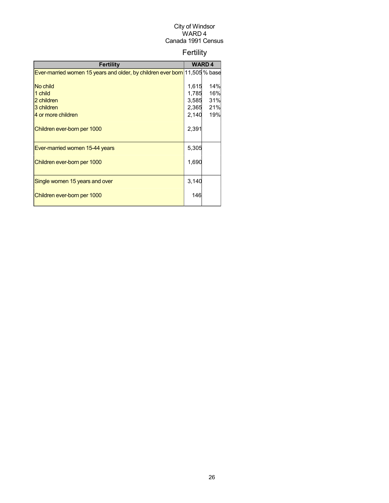## Fertility

| <b>Fertility</b>                                                           |       | <b>WARD4</b> |
|----------------------------------------------------------------------------|-------|--------------|
| Ever-married women 15 years and older, by children ever born 11,505 % base |       |              |
|                                                                            |       |              |
| No child                                                                   | 1,615 | 14%          |
| 1 child                                                                    | 1,785 | 16%          |
| 2 children                                                                 | 3,585 | 31%          |
| 3 children                                                                 | 2,365 | 21%          |
| 4 or more children                                                         | 2,140 | 19%          |
| Children ever-born per 1000                                                | 2,391 |              |
| Ever-married women 15-44 years                                             | 5,305 |              |
| Children ever-born per 1000                                                | 1,690 |              |
| Single women 15 years and over                                             | 3,140 |              |
| Children ever-born per 1000                                                | 146   |              |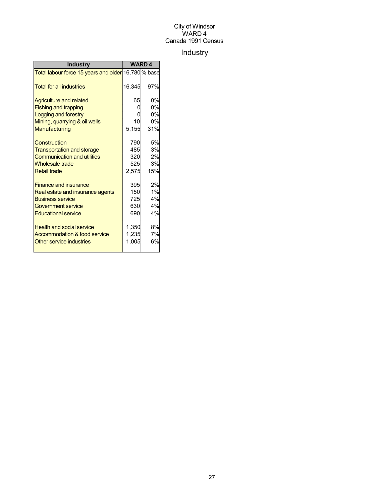## Industry

| <b>Industry</b>                                     | <b>WARD4</b> |           |
|-----------------------------------------------------|--------------|-----------|
| Total labour force 15 years and older 16,780 % base |              |           |
| <b>Total for all industries</b>                     | 16,345       | 97%       |
| <b>Agriculture and related</b>                      | 65           | 0%        |
| <b>Fishing and trapping</b>                         |              | 0%        |
| Logging and forestry                                |              | 0%        |
| Mining, quarrying & oil wells                       | 10           | 0%        |
| Manufacturing                                       | 5,155        | 31%       |
| Construction                                        | 790          | 5%        |
| <b>Transportation and storage</b>                   | 485          | 3%        |
| <b>Communication and utilities</b>                  | 320          | 2%        |
| <b>Wholesale trade</b>                              | 525          | <b>3%</b> |
| <b>Retail trade</b>                                 | 2,575        | 15%       |
| <b>Finance and insurance</b>                        | 395          | 2%        |
| Real estate and insurance agents                    | 150          | 1%        |
| <b>Business service</b>                             | 725          | 4%        |
| Government service                                  | 630          | 4%        |
| <b>Educational service</b>                          | 690          | 4%        |
| <b>Health and social service</b>                    | 1,350        | 8%        |
| Accommodation & food service                        | 1,235        | 7%        |
| Other service industries                            | 1,005        | 6%        |
|                                                     |              |           |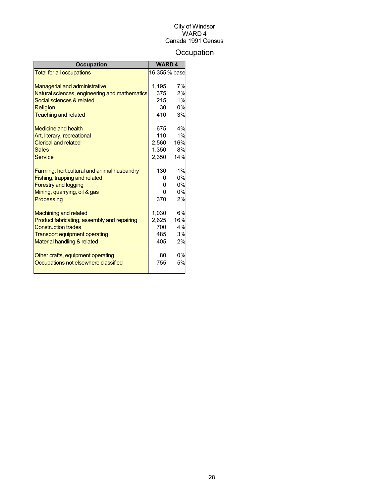## **Occupation**

| <b>Occupation</b>                             |       | <b>WARD4</b>  |
|-----------------------------------------------|-------|---------------|
| <b>Total for all occupations</b>              |       | 16,355 % base |
|                                               |       |               |
| <b>Managerial and administrative</b>          | 1,195 | 7%            |
| Natural sciences, engineering and mathematics | 375   | 2%            |
| Social sciences & related                     | 215   | 1%            |
| Religion                                      | 30    | 0%            |
| <b>Teaching and related</b>                   | 410   | 3%            |
| Medicine and health                           | 675   | 4%            |
| Art, literary, recreational                   | 110   | 1%            |
| <b>Clerical and related</b>                   | 2,560 | 16%           |
| <b>Sales</b>                                  | 1,350 | 8%            |
| Service                                       | 2,350 | 14%           |
| Farming, horticultural and animal husbandry   | 130   | 1%            |
| Fishing, trapping and related                 |       | 0%            |
| <b>Forestry and logging</b>                   |       | 0%            |
| Mining, quarrying, oil & gas                  |       | 0%            |
| Processing                                    | 370   | 2%            |
| <b>Machining and related</b>                  | 1,030 | 6%            |
| Product fabricating, assembly and repairing   | 2,625 | 16%           |
| <b>Construction trades</b>                    | 700   | 4%            |
| <b>Transport equipment operating</b>          | 485   | 3%            |
| Material handling & related                   | 405   | 2%            |
| Other crafts, equipment operating             | 80    | 0%            |
| Occupations not elsewhere classified          | 755   | 5%            |
|                                               |       |               |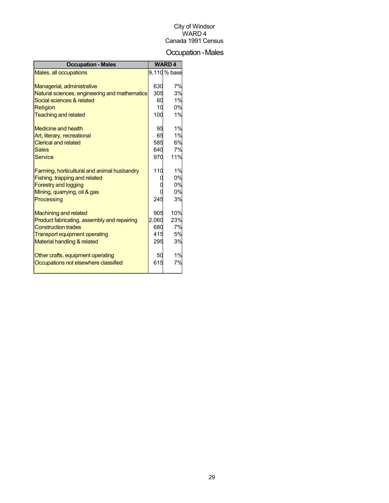## Occupation-Males

| <b>Occupation - Males</b>                     |       | <b>WARD4</b> |
|-----------------------------------------------|-------|--------------|
| Males, all occupations                        |       | 9,110% base  |
|                                               |       |              |
| Managerial, administrative                    | 630   | 7%           |
| Natural sciences, engineering and mathematics | 305   | 3%           |
| Social sciences & related                     | 60    | 1%           |
| Religion                                      | 10    | 0%           |
| <b>Teaching and related</b>                   | 100   | 1%           |
| Medicine and health                           | 95    | 1%           |
| Art, literary, recreational                   | 65    | 1%           |
| <b>Clerical and related</b>                   | 585   | 6%           |
| <b>Sales</b>                                  | 640   | 7%           |
| <b>Service</b>                                | 970   | 11%          |
| Farming, horticultural and animal husbandry   | 110   | 1%           |
| Fishing, trapping and related                 |       | 0%           |
| <b>Forestry and logging</b>                   |       | 0%           |
| Mining, quarrying, oil & gas                  |       | 0%           |
| Processing                                    | 245   | 3%           |
| <b>Machining and related</b>                  | 905   | 10%          |
| Product fabricating, assembly and repairing   | 2,060 | 23%          |
| <b>Construction trades</b>                    | 680   | 7%           |
| <b>Transport equipment operating</b>          | 415   | 5%           |
| Material handling & related                   | 295   | 3%           |
| Other crafts, equipment operating             | 50    | 1%           |
| Occupations not elsewhere classified          | 615   | 7%           |
|                                               |       |              |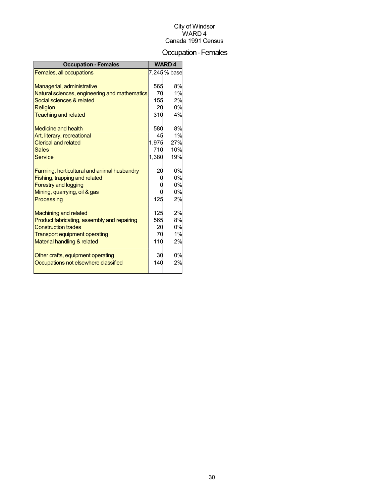## Occupation-Females

| <b>Occupation - Females</b>                   |       | <b>WARD4</b> |
|-----------------------------------------------|-------|--------------|
| Females, all occupations                      |       | 7,245 % base |
|                                               |       |              |
| Managerial, administrative                    | 565   | 8%           |
| Natural sciences, engineering and mathematics | 70    | 1%           |
| Social sciences & related                     | 155   | 2%           |
| Religion                                      | 20    | 0%           |
| <b>Teaching and related</b>                   | 310   | 4%           |
| <b>Medicine and health</b>                    | 580   | 8%           |
| Art, literary, recreational                   | 45    | 1%           |
| <b>Clerical and related</b>                   | 1,975 | 27%          |
| <b>Sales</b>                                  | 710   | 10%          |
| <b>Service</b>                                | 1,380 | 19%          |
| Farming, horticultural and animal husbandry   | 20    | 0%           |
| Fishing, trapping and related                 | C     | 0%           |
| <b>Forestry and logging</b>                   |       | 0%           |
| Mining, quarrying, oil & gas                  |       | 0%           |
| Processing                                    | 125   | 2%           |
| <b>Machining and related</b>                  | 125   | 2%           |
| Product fabricating, assembly and repairing   | 565   | 8%           |
| <b>Construction trades</b>                    | 20    | 0%           |
| <b>Transport equipment operating</b>          | 70    | 1%           |
| Material handling & related                   | 110   | 2%           |
| Other crafts, equipment operating             | 30    | 0%           |
| Occupations not elsewhere classified          | 140   | 2%           |
|                                               |       |              |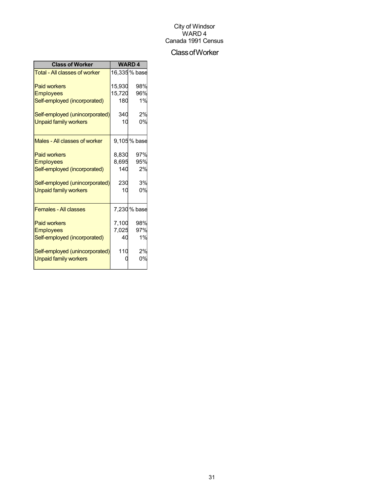## ClassofWorker

| <b>Class of Worker</b>               | <b>WARD4</b> |               |
|--------------------------------------|--------------|---------------|
| <b>Total - All classes of worker</b> |              | 16,335 % base |
| <b>Paid workers</b>                  | 15.930       | 98%           |
| <b>Employees</b>                     | 15,720       | 96%           |
| Self-employed (incorporated)         | 180          | 1%            |
| Self-employed (unincorporated)       | 340          | 2%            |
| <b>Unpaid family workers</b>         | 10           | 0%            |
| Males - All classes of worker        |              | 9,105% base   |
| <b>Paid workers</b>                  | 8,830        | 97%           |
| <b>Employees</b>                     | 8,695        | 95%           |
| Self-employed (incorporated)         | 140          | 2%            |
| Self-employed (unincorporated)       | 230          | 3%            |
| <b>Unpaid family workers</b>         | 10           | 0%            |
| <b>Females - All classes</b>         |              | 7,230 % base  |
| <b>Paid workers</b>                  | 7,100        | 98%           |
| <b>Employees</b>                     | 7,025        | 97%           |
| Self-employed (incorporated)         | 40           | 1%            |
| Self-employed (unincorporated)       | 110          | 2%            |
| <b>Unpaid family workers</b>         |              | 0%            |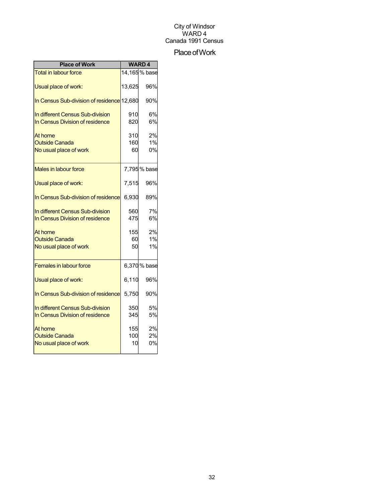## Place of Work

| <b>Place of Work</b>                                                | <b>WARD4</b>     |                                 |
|---------------------------------------------------------------------|------------------|---------------------------------|
| <b>Total in labour force</b>                                        |                  | $\overline{14}$ , 165 $\%$ base |
| Usual place of work:                                                | 13,625           | 96%                             |
| In Census Sub-division of residence 12,680                          |                  | 90%                             |
| In different Census Sub-division<br>In Census Division of residence | 910<br>820       | 6%<br>6%                        |
| At home<br><b>Outside Canada</b><br>No usual place of work          | 310<br>160<br>60 | 2%<br>1%<br>0%                  |
| <b>Males in labour force</b>                                        |                  | 7,795% base                     |
| Usual place of work:                                                | 7,515            | 96%                             |
| In Census Sub-division of residence                                 | 6,930            | 89%                             |
| In different Census Sub-division<br>In Census Division of residence | 560<br>475       | 7%<br>6%                        |
| At home<br><b>Outside Canada</b><br>No usual place of work          | 155<br>60<br>50  | 2%<br>1%<br>1%                  |
| <b>Females in labour force</b>                                      |                  | 6,370% base                     |
| Usual place of work:                                                | 6,110            | 96%                             |
| In Census Sub-division of residence                                 | 5,750            | 90%                             |
| In different Census Sub-division<br>In Census Division of residence | 350<br>345       | 5%<br>5%                        |
| At home<br><b>Outside Canada</b><br>No usual place of work          | 155<br>100<br>10 | 2%<br>2%<br>0%                  |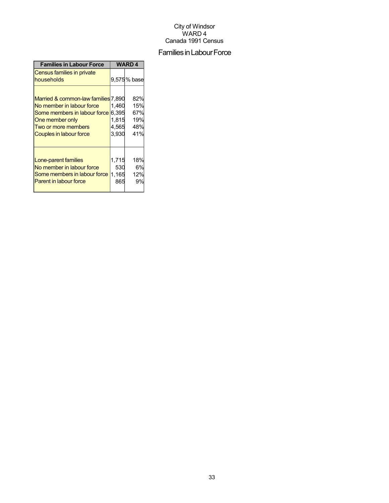## Families in Labour Force

| <b>Families in Labour Force</b>                                                                                                                                             | <b>WARD4</b>                     |                                        |  |
|-----------------------------------------------------------------------------------------------------------------------------------------------------------------------------|----------------------------------|----------------------------------------|--|
| Census families in private<br>households                                                                                                                                    |                                  | 9,575% base                            |  |
| Married & common-law families 7,890<br>No member in labour force<br>Some members in labour force 6,395<br>One member only<br>Two or more members<br>Couples in labour force | 1.460<br>1,815<br>4,565<br>3,930 | 82%<br>15%<br>67%<br>19%<br>48%<br>41% |  |
| Lone-parent families<br>No member in labour force<br>Some members in labour force<br><b>Parent in labour force</b>                                                          | 1,715<br>530<br>1,165<br>865     | 18%<br>6%<br>12%<br>9%                 |  |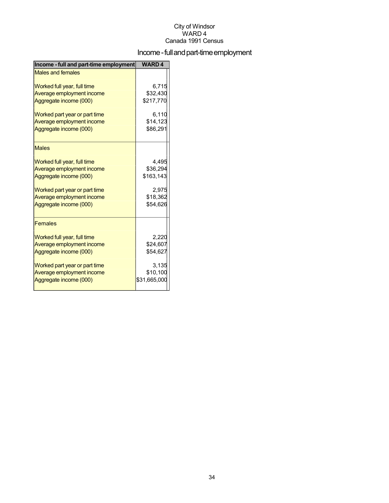## Income - full and part-time employment

| Income - full and part-time employment | <b>WARD4</b> |
|----------------------------------------|--------------|
| <b>Males and females</b>               |              |
| Worked full year, full time            | 6,715        |
| Average employment income              | \$32,430     |
| Aggregate income (000)                 | \$217,770    |
| Worked part year or part time          | 6,110        |
| Average employment income              | \$14,123     |
| Aggregate income (000)                 | \$86,291     |
| <b>Males</b>                           |              |
| Worked full year, full time            | 4,495        |
| Average employment income              | \$36,294     |
| Aggregate income (000)                 | \$163,143    |
| Worked part year or part time          | 2,975        |
| Average employment income              | \$18,362     |
| Aggregate income (000)                 | \$54,626     |
| <b>Females</b>                         |              |
| Worked full year, full time            | 2,220        |
| Average employment income              | \$24,607     |
| Aggregate income (000)                 | \$54,627     |
| Worked part year or part time          | 3,135        |
| Average employment income              | \$10,100     |
| Aggregate income (000)                 | \$31,665,000 |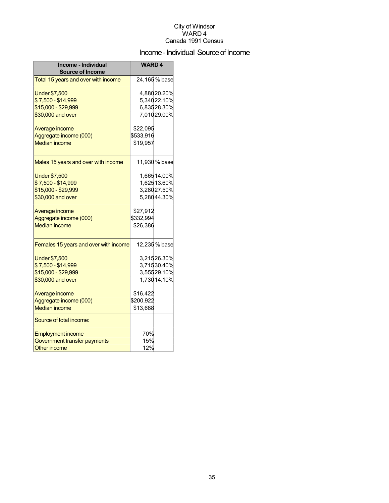## Income - Individual Source of Income

| Income - Individual<br><b>Source of Income</b> | <b>WARD4</b> |               |
|------------------------------------------------|--------------|---------------|
| Total 15 years and over with income            |              | 24,165 % base |
| <b>Under \$7,500</b>                           |              | 4,88020.20%   |
| \$7,500 - \$14,999                             |              | 5,34022.10%   |
| \$15,000 - \$29,999                            |              | 6,83528.30%   |
| \$30,000 and over                              |              | 7,01029.00%   |
| Average income                                 | \$22,095     |               |
| Aggregate income (000)                         | \$533,916    |               |
| <b>Median income</b>                           | \$19,957     |               |
| Males 15 years and over with income            |              | 11,930 % base |
| <b>Under \$7,500</b>                           |              | 1,66514.00%   |
| \$7,500 - \$14,999                             |              | 1,62513.60%   |
| \$15,000 - \$29,999                            |              | 3,28027.50%   |
| \$30,000 and over                              |              | 5,28044.30%   |
| Average income                                 | \$27,912     |               |
| Aggregate income (000)                         | \$332,994    |               |
| <b>Median income</b>                           | \$26,386     |               |
| Females 15 years and over with income          |              | 12,235 % base |
| <b>Under \$7,500</b>                           |              | 3,21526.30%   |
| \$7,500 - \$14,999                             |              | 3,71530.40%   |
| \$15,000 - \$29,999                            |              | 3,55529.10%   |
| \$30,000 and over                              |              | 1,730 14.10%  |
| Average income                                 | \$16,422     |               |
| Aggregate income (000)                         | \$200,922    |               |
| <b>Median income</b>                           | \$13,688     |               |
| Source of total income:                        |              |               |
| <b>Employment income</b>                       | 70%          |               |
| Government transfer payments                   | 15%          |               |
| <b>Other income</b>                            | 12%          |               |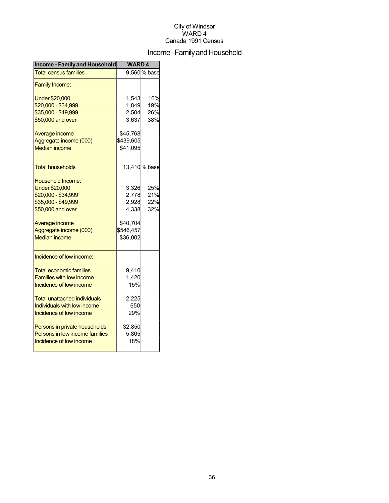## Income - Family and Household

| <b>Income - Family and Household</b> | <b>WARD4</b> |               |
|--------------------------------------|--------------|---------------|
| <b>Total census families</b>         |              | 9,560 % base  |
| <b>Family Income:</b>                |              |               |
| <b>Under \$20,000</b>                | 1,543        | 16%           |
| \$20,000 - \$34,999                  | 1,849        | 19%           |
| \$35,000 - \$49,999                  | 2,504        | 26%           |
| \$50,000 and over                    | 3,637        | 38%           |
| Average income                       | \$45,768     |               |
| Aggregate income (000)               | \$439,605    |               |
| <b>Median income</b>                 | \$41,095     |               |
| <b>Total households</b>              |              | 13,410 % base |
| Household Income:                    |              |               |
| <b>Under \$20,000</b>                | 3,326        | 25%           |
| \$20,000 - \$34,999                  | 2,778        | 21%           |
| \$35,000 - \$49,999                  | 2,928        | 22%           |
| \$50,000 and over                    | 4,338        | 32%           |
| Average income                       | \$40,704     |               |
| Aggregate income (000)               | \$546,457    |               |
| <b>Median income</b>                 | \$36,002     |               |
| Incidence of low income:             |              |               |
| <b>Total economic families</b>       | 9,410        |               |
| <b>Families with low income</b>      | 1,420        |               |
| Incidence of low income              | 15%          |               |
| Total unattached individuals         | 2,225        |               |
| Individuals with low income          | 650          |               |
| Incidence of low income              | 29%          |               |
| Persons in private households        | 32,850       |               |
| Persons in low income families       | 5,805        |               |
| Incidence of low income              | 18%          |               |